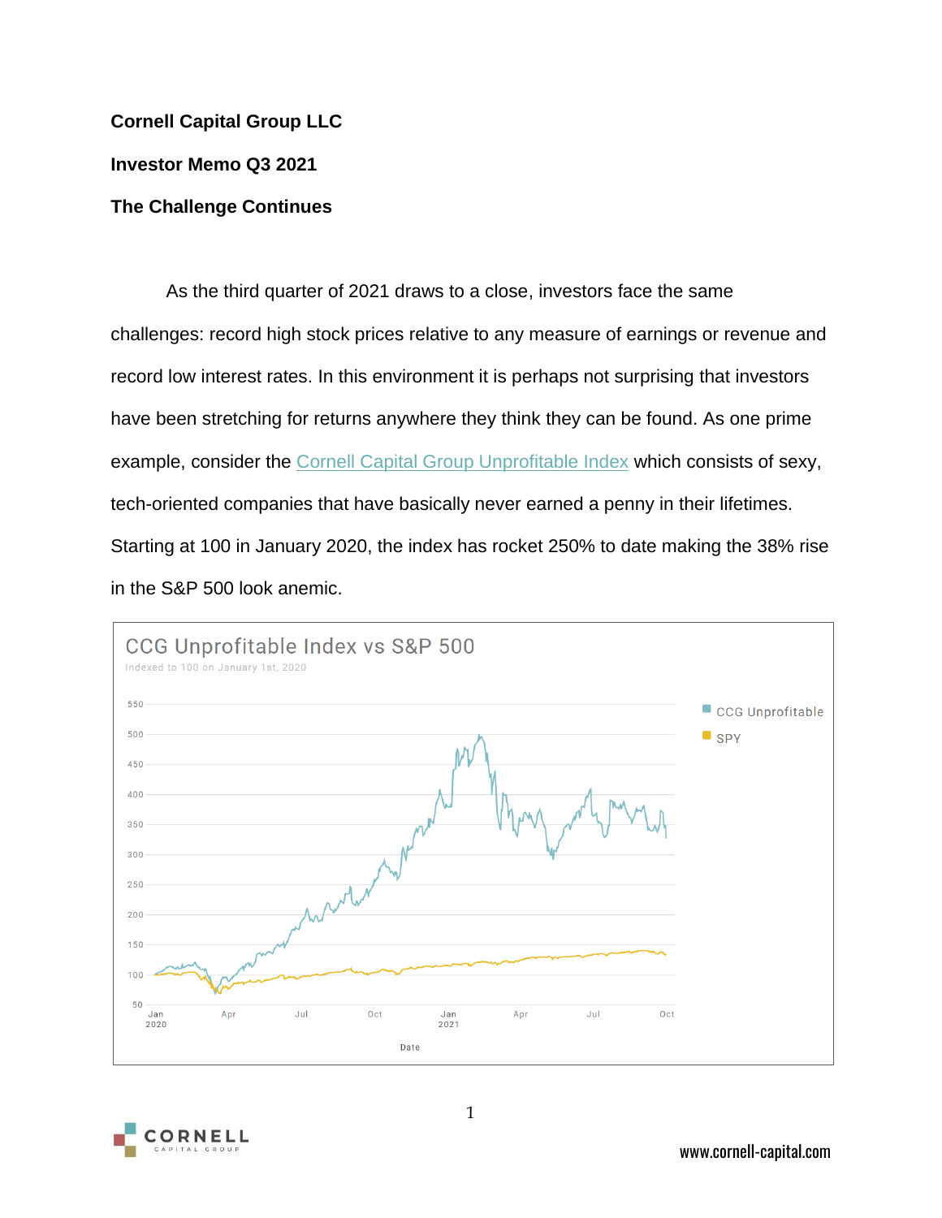## **Cornell Capital Group LLC**

**Investor Memo Q3 2021**

## **The Challenge Continues**

As the third quarter of 2021 draws to a close, investors face the same challenges: record high stock prices relative to any measure of earnings or revenue and record low interest rates. In this environment it is perhaps not surprising that investors have been stretching for returns anywhere they think they can be found. As one prime example, consider the [Cornell Capital Group Unprofitable Index](https://www.cornell-capital.com/ccg-unprofitable-index) which consists of sexy, tech-oriented companies that have basically never earned a penny in their lifetimes. Starting at 100 in January 2020, the index has rocket 250% to date making the 38% rise in the S&P 500 look anemic.



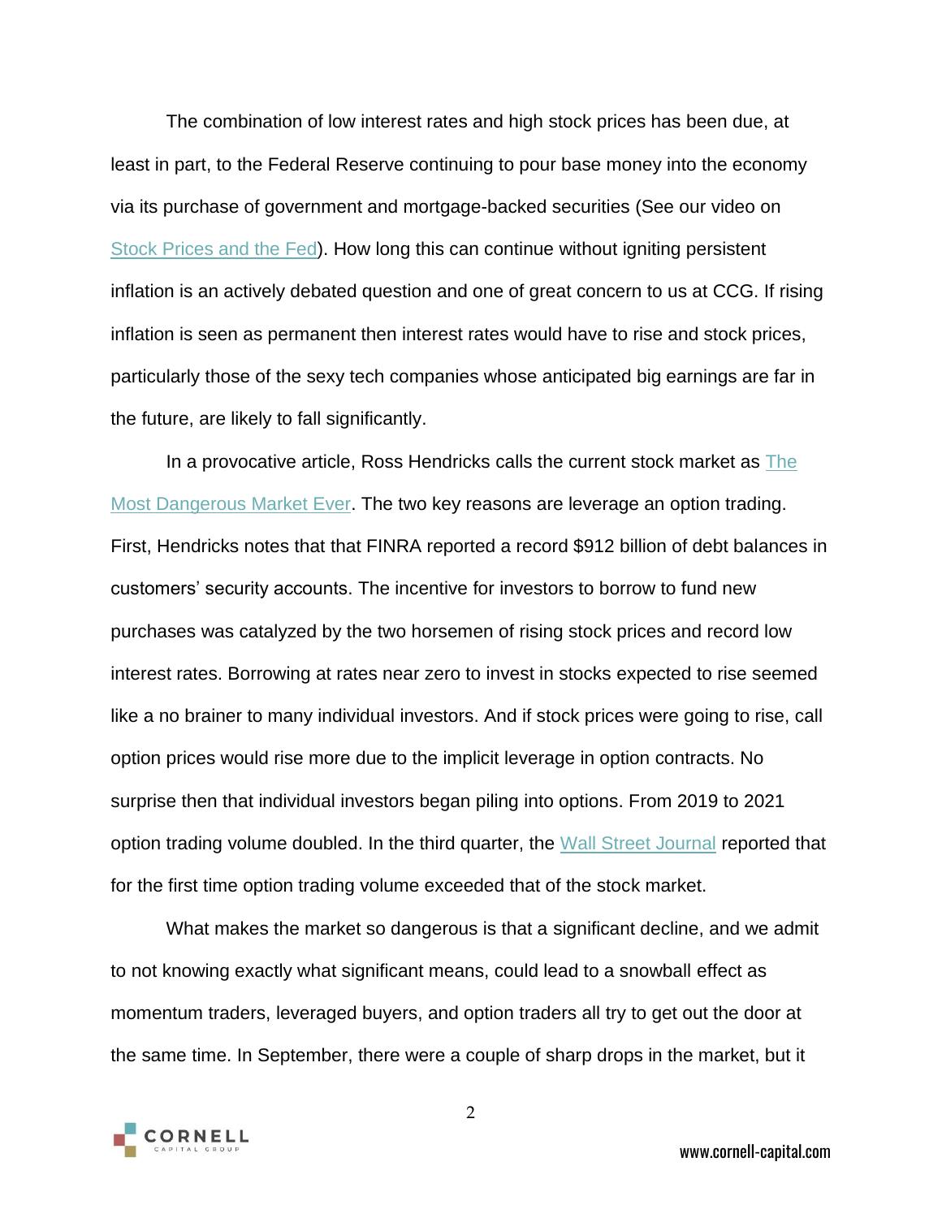The combination of low interest rates and high stock prices has been due, at least in part, to the Federal Reserve continuing to pour base money into the economy via its purchase of government and mortgage-backed securities (See our video on [Stock Prices and the Fed\)](https://www.cornell-capital.com/blog/2021/08/reflections-on-investing-stock-prices-and-the-fed.html). How long this can continue without igniting persistent inflation is an actively debated question and one of great concern to us at CCG. If rising inflation is seen as permanent then interest rates would have to rise and stock prices, particularly those of the sexy tech companies whose anticipated big earnings are far in the future, are likely to fall significantly.

In a provocative article, Ross Hendricks calls the current stock market as [The](https://therossreport.substack.com/p/the-most-dangerous-stock-market-ever)  [Most Dangerous Market Ever.](https://therossreport.substack.com/p/the-most-dangerous-stock-market-ever) The two key reasons are leverage an option trading. First, Hendricks notes that that FINRA reported a record \$912 billion of debt balances in customers' security accounts. The incentive for investors to borrow to fund new purchases was catalyzed by the two horsemen of rising stock prices and record low interest rates. Borrowing at rates near zero to invest in stocks expected to rise seemed like a no brainer to many individual investors. And if stock prices were going to rise, call option prices would rise more due to the implicit leverage in option contracts. No surprise then that individual investors began piling into options. From 2019 to 2021 option trading volume doubled. In the third quarter, the [Wall Street Journal](https://therossreport.substack.com/p/the-most-dangerous-stock-market-ever) reported that for the first time option trading volume exceeded that of the stock market.

What makes the market so dangerous is that a significant decline, and we admit to not knowing exactly what significant means, could lead to a snowball effect as momentum traders, leveraged buyers, and option traders all try to get out the door at the same time. In September, there were a couple of sharp drops in the market, but it



2